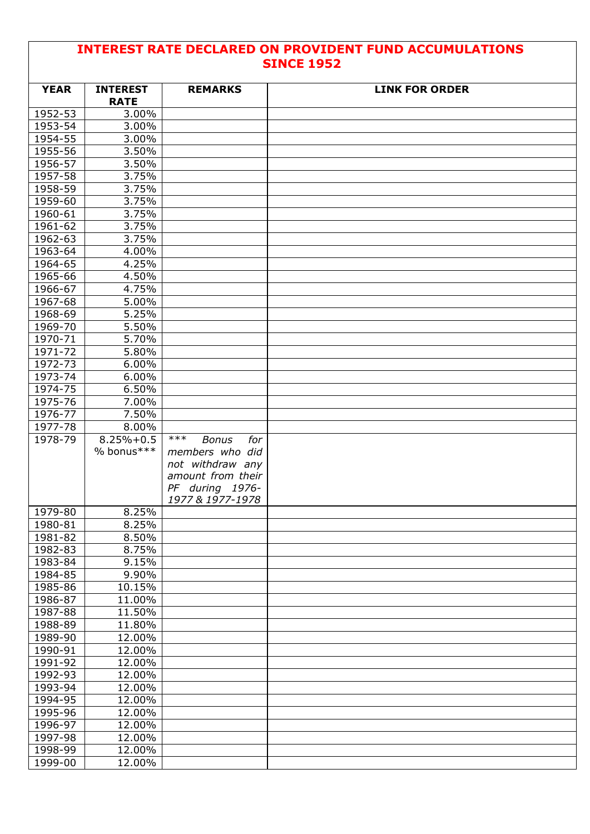## **INTEREST RATE DECLARED ON PROVIDENT FUND ACCUMULATIONS SINCE 1952**

| <b>YEAR</b> | <b>INTEREST</b><br><b>RATE</b> | <b>REMARKS</b>               | <b>LINK FOR ORDER</b> |
|-------------|--------------------------------|------------------------------|-----------------------|
| 1952-53     | 3.00%                          |                              |                       |
| 1953-54     | 3.00%                          |                              |                       |
| 1954-55     | 3.00%                          |                              |                       |
| 1955-56     | 3.50%                          |                              |                       |
| 1956-57     | 3.50%                          |                              |                       |
| 1957-58     | 3.75%                          |                              |                       |
| 1958-59     | 3.75%                          |                              |                       |
| 1959-60     | 3.75%                          |                              |                       |
| 1960-61     | 3.75%                          |                              |                       |
| 1961-62     | 3.75%                          |                              |                       |
| 1962-63     | 3.75%                          |                              |                       |
| 1963-64     | 4.00%                          |                              |                       |
| 1964-65     | 4.25%                          |                              |                       |
| 1965-66     | 4.50%                          |                              |                       |
| 1966-67     | 4.75%                          |                              |                       |
| 1967-68     | 5.00%                          |                              |                       |
| $1968 - 69$ | 5.25%                          |                              |                       |
| 1969-70     | 5.50%                          |                              |                       |
| 1970-71     | 5.70%                          |                              |                       |
| 1971-72     | 5.80%                          |                              |                       |
| 1972-73     | 6.00%                          |                              |                       |
| $1973 - 74$ | 6.00%                          |                              |                       |
| 1974-75     | 6.50%                          |                              |                       |
| 1975-76     | 7.00%                          |                              |                       |
| 1976-77     | 7.50%                          |                              |                       |
| 1977-78     | 8.00%                          |                              |                       |
| 1978-79     | $8.25% + 0.5$                  | $***$<br><b>Bonus</b><br>for |                       |
|             | % bonus***                     | members who did              |                       |
|             |                                | not withdraw any             |                       |
|             |                                | amount from their            |                       |
|             |                                | PF during 1976-              |                       |
|             |                                | 1977 & 1977-1978             |                       |
| 1979-80     | 8.25%                          |                              |                       |
| 1980-81     | 8.25%                          |                              |                       |
| 1981-82     | 8.50%                          |                              |                       |
| 1982-83     | 8.75%                          |                              |                       |
| 1983-84     | 9.15%                          |                              |                       |
| 1984-85     | 9.90%                          |                              |                       |
| 1985-86     | 10.15%                         |                              |                       |
| 1986-87     | 11.00%                         |                              |                       |
| 1987-88     | 11.50%                         |                              |                       |
| 1988-89     | 11.80%                         |                              |                       |
| 1989-90     | 12.00%                         |                              |                       |
| 1990-91     | 12.00%                         |                              |                       |
| 1991-92     | 12.00%                         |                              |                       |
| 1992-93     | 12.00%                         |                              |                       |
| 1993-94     | 12.00%                         |                              |                       |
| 1994-95     | 12.00%                         |                              |                       |
| 1995-96     | 12.00%                         |                              |                       |
| 1996-97     | 12.00%                         |                              |                       |
| 1997-98     | 12.00%                         |                              |                       |
| 1998-99     | 12.00%                         |                              |                       |
| 1999-00     | 12.00%                         |                              |                       |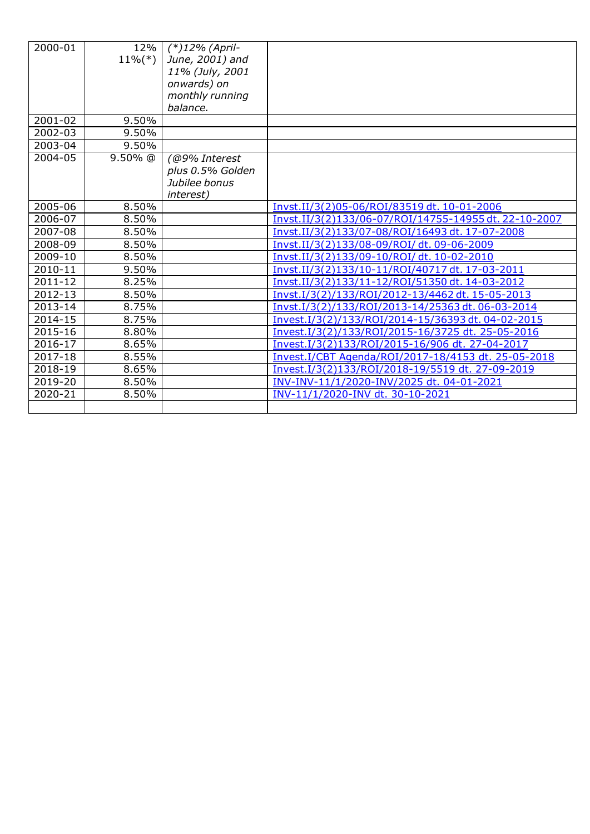| 2000-01     | 12%<br>$11\%$ <sup>(*)</sup> | $(*)12%$ (April-<br>June, 2001) and<br>11% (July, 2001<br>onwards) on |                                                       |
|-------------|------------------------------|-----------------------------------------------------------------------|-------------------------------------------------------|
|             |                              | monthly running<br>balance.                                           |                                                       |
| $2001 - 02$ | 9.50%                        |                                                                       |                                                       |
| 2002-03     | 9.50%                        |                                                                       |                                                       |
| 2003-04     | 9.50%                        |                                                                       |                                                       |
| 2004-05     | $9.50\%$ @                   | (@9% Interest                                                         |                                                       |
|             |                              | plus 0.5% Golden                                                      |                                                       |
|             |                              | Jubilee bonus                                                         |                                                       |
|             |                              | <i>interest</i> )                                                     |                                                       |
| 2005-06     | 8.50%                        |                                                                       | Invst.II/3(2)05-06/ROI/83519 dt. 10-01-2006           |
| 2006-07     | 8.50%                        |                                                                       | Invst.II/3(2)133/06-07/ROI/14755-14955 dt. 22-10-2007 |
| 2007-08     | 8.50%                        |                                                                       | Invst.II/3(2)133/07-08/ROI/16493 dt. 17-07-2008       |
| 2008-09     | 8.50%                        |                                                                       | Invst.II/3(2)133/08-09/ROI/dt.09-06-2009              |
| 2009-10     | 8.50%                        |                                                                       | Invst.II/3(2)133/09-10/ROI/dt. 10-02-2010             |
| 2010-11     | 9.50%                        |                                                                       | Invst.II/3(2)133/10-11/ROI/40717 dt. 17-03-2011       |
| $2011 - 12$ | 8.25%                        |                                                                       | Invst.II/3(2)133/11-12/ROI/51350 dt. 14-03-2012       |
| 2012-13     | 8.50%                        |                                                                       | Invst.I/3(2)/133/ROI/2012-13/4462 dt. 15-05-2013      |
| 2013-14     | 8.75%                        |                                                                       | Invst.I/3(2)/133/ROI/2013-14/25363 dt. 06-03-2014     |
| 2014-15     | 8.75%                        |                                                                       | Invest.I/3(2)/133/ROI/2014-15/36393 dt. 04-02-2015    |
| 2015-16     | 8.80%                        |                                                                       | Invest.I/3(2)/133/ROI/2015-16/3725 dt. 25-05-2016     |
| 2016-17     | 8.65%                        |                                                                       | Invest.I/3(2)133/ROI/2015-16/906 dt. 27-04-2017       |
| 2017-18     | 8.55%                        |                                                                       | Invest.I/CBT Agenda/ROI/2017-18/4153 dt. 25-05-2018   |
| 2018-19     | 8.65%                        |                                                                       | Invest.I/3(2)133/ROI/2018-19/5519 dt. 27-09-2019      |
| 2019-20     | 8.50%                        |                                                                       | INV-INV-11/1/2020-INV/2025 dt. 04-01-2021             |
| 2020-21     | 8.50%                        |                                                                       | INV-11/1/2020-INV dt. 30-10-2021                      |
|             |                              |                                                                       |                                                       |